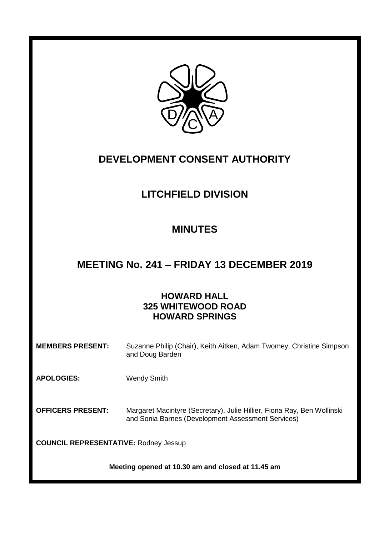

# **DEVELOPMENT CONSENT AUTHORITY**

# **LITCHFIELD DIVISION**

# **MINUTES**

# **MEETING No. 241 – FRIDAY 13 DECEMBER 2019**

# **HOWARD HALL 325 WHITEWOOD ROAD HOWARD SPRINGS**

| <b>MEMBERS PRESENT:</b> | Suzanne Philip (Chair), Keith Aitken, Adam Twomey, Christine Simpson |
|-------------------------|----------------------------------------------------------------------|
|                         | and Doug Barden                                                      |

**APOLOGIES:** Wendy Smith

**OFFICERS PRESENT:** Margaret Macintyre (Secretary), Julie Hillier, Fiona Ray, Ben Wollinski and Sonia Barnes (Development Assessment Services)

**COUNCIL REPRESENTATIVE:** Rodney Jessup

**Meeting opened at 10.30 am and closed at 11.45 am**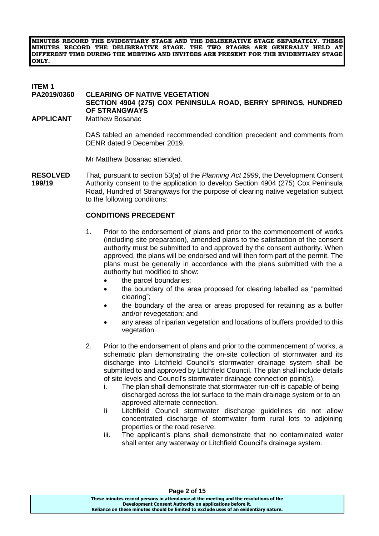**MINUTES RECORD THE EVIDENTIARY STAGE AND THE DELIBERATIVE STAGE SEPARATELY. THESE MINUTES RECORD THE DELIBERATIVE STAGE. THE TWO STAGES ARE GENERALLY HELD AT DIFFERENT TIME DURING THE MEETING AND INVITEES ARE PRESENT FOR THE EVIDENTIARY STAGE ONLY.**

# **ITEM 1**

### **CLEARING OF NATIVE VEGETATION**

**SECTION 4904 (275) COX PENINSULA ROAD, BERRY SPRINGS, HUNDRED OF STRANGWAYS**

**APPLICANT** Matthew Bosanac

DAS tabled an amended recommended condition precedent and comments from DENR dated 9 December 2019.

Mr Matthew Bosanac attended.

**RESOLVED** That, pursuant to section 53(a) of the *Planning Act 1999*, the Development Consent **199/19** Authority consent to the application to develop Section 4904 (275) Cox Peninsula Road, Hundred of Strangways for the purpose of clearing native vegetation subject to the following conditions:

### **CONDITIONS PRECEDENT**

- 1. Prior to the endorsement of plans and prior to the commencement of works (including site preparation), amended plans to the satisfaction of the consent authority must be submitted to and approved by the consent authority. When approved, the plans will be endorsed and will then form part of the permit. The plans must be generally in accordance with the plans submitted with the a authority but modified to show:
	- the parcel boundaries;
	- the boundary of the area proposed for clearing labelled as "permitted clearing";
	- the boundary of the area or areas proposed for retaining as a buffer and/or revegetation; and
	- any areas of riparian vegetation and locations of buffers provided to this vegetation.
- 2. Prior to the endorsement of plans and prior to the commencement of works, a schematic plan demonstrating the on-site collection of stormwater and its discharge into Litchfield Council's stormwater drainage system shall be submitted to and approved by Litchfield Council. The plan shall include details of site levels and Council's stormwater drainage connection point(s).
	- i. The plan shall demonstrate that stormwater run-off is capable of being discharged across the lot surface to the main drainage system or to an approved alternate connection.
	- Ii Litchfield Council stormwater discharge guidelines do not allow concentrated discharge of stormwater form rural lots to adjoining properties or the road reserve.
	- iii. The applicant's plans shall demonstrate that no contaminated water shall enter any waterway or Litchfield Council's drainage system.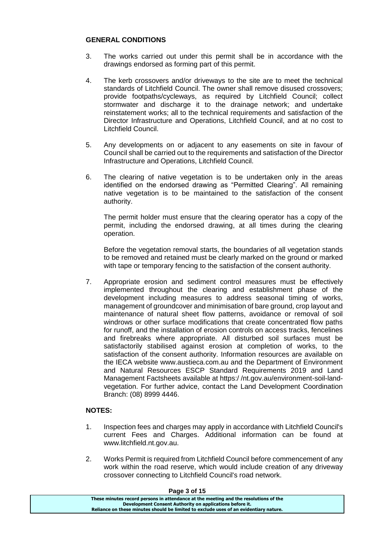### **GENERAL CONDITIONS**

- 3. The works carried out under this permit shall be in accordance with the drawings endorsed as forming part of this permit.
- 4. The kerb crossovers and/or driveways to the site are to meet the technical standards of Litchfield Council. The owner shall remove disused crossovers; provide footpaths/cycleways, as required by Litchfield Council; collect stormwater and discharge it to the drainage network; and undertake reinstatement works; all to the technical requirements and satisfaction of the Director Infrastructure and Operations, Litchfield Council, and at no cost to Litchfield Council.
- 5. Any developments on or adjacent to any easements on site in favour of Council shall be carried out to the requirements and satisfaction of the Director Infrastructure and Operations, Litchfield Council.
- 6. The clearing of native vegetation is to be undertaken only in the areas identified on the endorsed drawing as "Permitted Clearing". All remaining native vegetation is to be maintained to the satisfaction of the consent authority.

The permit holder must ensure that the clearing operator has a copy of the permit, including the endorsed drawing, at all times during the clearing operation.

Before the vegetation removal starts, the boundaries of all vegetation stands to be removed and retained must be clearly marked on the ground or marked with tape or temporary fencing to the satisfaction of the consent authority.

7. Appropriate erosion and sediment control measures must be effectively implemented throughout the clearing and establishment phase of the development including measures to address seasonal timing of works, management of groundcover and minimisation of bare ground, crop layout and maintenance of natural sheet flow patterns, avoidance or removal of soil windrows or other surface modifications that create concentrated flow paths for runoff, and the installation of erosion controls on access tracks, fencelines and firebreaks where appropriate. All disturbed soil surfaces must be satisfactorily stabilised against erosion at completion of works, to the satisfaction of the consent authority. Information resources are available on the IECA website www.austieca.com.au and the Department of Environment and Natural Resources ESCP Standard Requirements 2019 and Land Management Factsheets available at https:/ /nt.gov.au/environment-soil-landvegetation. For further advice, contact the Land Development Coordination Branch: (08) 8999 4446.

### **NOTES:**

- 1. Inspection fees and charges may apply in accordance with Litchfield Council's current Fees and Charges. Additional information can be found at www.litchfield.nt.gov.au.
- 2. Works Permit is required from Litchfield Council before commencement of any work within the road reserve, which would include creation of any driveway crossover connecting to Litchfield Council's road network.

### **Page 3 of 15**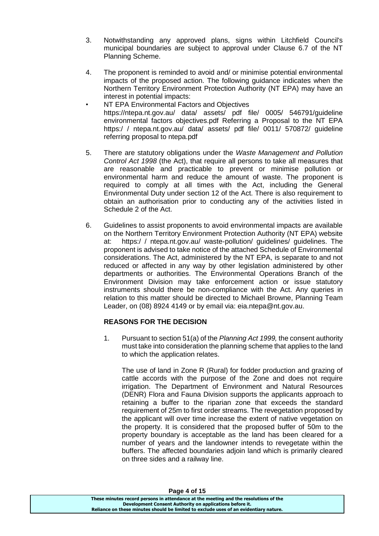- 3. Notwithstanding any approved plans, signs within Litchfield Council's municipal boundaries are subject to approval under Clause 6.7 of the NT Planning Scheme.
- 4. The proponent is reminded to avoid and/ or minimise potential environmental impacts of the proposed action. The following guidance indicates when the Northern Territory Environment Protection Authority (NT EPA) may have an interest in potential impacts:
- NT EPA Environmental Factors and Objectives https://ntepa.nt.gov.au/ data/ assets/ pdf file/ 0005/ 546791/guideline environmental factors objectives.pdf Referring a Proposal to the NT EPA https:/ / ntepa.nt.gov.au/ data/ assets/ pdf file/ 0011/ 570872/ guideline referring proposal to ntepa.pdf
- 5. There are statutory obligations under the *Waste Management and Pollution Control Act 1998* (the Act), that require all persons to take all measures that are reasonable and practicable to prevent or minimise pollution or environmental harm and reduce the amount of waste. The proponent is required to comply at all times with the Act, including the General Environmental Duty under section 12 of the Act. There is also requirement to obtain an authorisation prior to conducting any of the activities listed in Schedule 2 of the Act.
- 6. Guidelines to assist proponents to avoid environmental impacts are available on the Northern Territory Environment Protection Authority (NT EPA) website at: https:/ / ntepa.nt.gov.au/ waste-pollution/ guidelines/ guidelines. The proponent is advised to take notice of the attached Schedule of Environmental considerations. The Act, administered by the NT EPA, is separate to and not reduced or affected in any way by other legislation administered by other departments or authorities. The Environmental Operations Branch of the Environment Division may take enforcement action or issue statutory instruments should there be non-compliance with the Act. Any queries in relation to this matter should be directed to Michael Browne, Planning Team Leader, on (08) 8924 4149 or by email via: eia.ntepa@nt.gov.au.

## **REASONS FOR THE DECISION**

1. Pursuant to section 51(a) of the *Planning Act 1999,* the consent authority must take into consideration the planning scheme that applies to the land to which the application relates.

The use of land in Zone R (Rural) for fodder production and grazing of cattle accords with the purpose of the Zone and does not require irrigation. The Department of Environment and Natural Resources (DENR) Flora and Fauna Division supports the applicants approach to retaining a buffer to the riparian zone that exceeds the standard requirement of 25m to first order streams. The revegetation proposed by the applicant will over time increase the extent of native vegetation on the property. It is considered that the proposed buffer of 50m to the property boundary is acceptable as the land has been cleared for a number of years and the landowner intends to revegetate within the buffers. The affected boundaries adjoin land which is primarily cleared on three sides and a railway line.

**Page 4 of 15**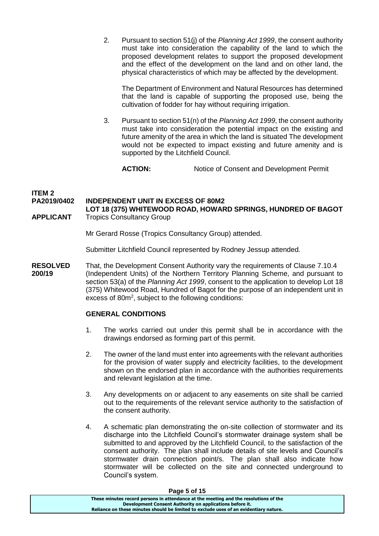2. Pursuant to section 51(j) of the *Planning Act 1999*, the consent authority must take into consideration the capability of the land to which the proposed development relates to support the proposed development and the effect of the development on the land and on other land, the physical characteristics of which may be affected by the development.

The Department of Environment and Natural Resources has determined that the land is capable of supporting the proposed use, being the cultivation of fodder for hay without requiring irrigation.

3. Pursuant to section 51(n) of the *Planning Act 1999*, the consent authority must take into consideration the potential impact on the existing and future amenity of the area in which the land is situated The development would not be expected to impact existing and future amenity and is supported by the Litchfield Council.

**ACTION:** Notice of Consent and Development Permit

### **ITEM 2 PA2019/0402 INDEPENDENT UNIT IN EXCESS OF 80M2 LOT 18 (375) WHITEWOOD ROAD, HOWARD SPRINGS, HUNDRED OF BAGOT**

**APPLICANT** Tropics Consultancy Group

Mr Gerard Rosse (Tropics Consultancy Group) attended.

Submitter Litchfield Council represented by Rodney Jessup attended.

**RESOLVED** That, the Development Consent Authority vary the requirements of Clause 7.10.4 **200/19** (Independent Units) of the Northern Territory Planning Scheme, and pursuant to section 53(a) of the *Planning Act 1999*, consent to the application to develop Lot 18 (375) Whitewood Road, Hundred of Bagot for the purpose of an independent unit in excess of 80m<sup>2</sup>, subject to the following conditions:

### **GENERAL CONDITIONS**

- 1. The works carried out under this permit shall be in accordance with the drawings endorsed as forming part of this permit.
- 2. The owner of the land must enter into agreements with the relevant authorities for the provision of water supply and electricity facilities, to the development shown on the endorsed plan in accordance with the authorities requirements and relevant legislation at the time.
- 3. Any developments on or adjacent to any easements on site shall be carried out to the requirements of the relevant service authority to the satisfaction of the consent authority.
- 4. A schematic plan demonstrating the on-site collection of stormwater and its discharge into the Litchfield Council's stormwater drainage system shall be submitted to and approved by the Litchfield Council, to the satisfaction of the consent authority. The plan shall include details of site levels and Council's stormwater drain connection point/s. The plan shall also indicate how stormwater will be collected on the site and connected underground to Council's system.

| Page 5 or 15                                                                          |  |  |
|---------------------------------------------------------------------------------------|--|--|
| These minutes record persons in attendance at the meeting and the resolutions of the  |  |  |
| Development Consent Authority on applications before it.                              |  |  |
| Reliance on these minutes should be limited to exclude uses of an evidentiary nature. |  |  |

### **Page 5 of 15**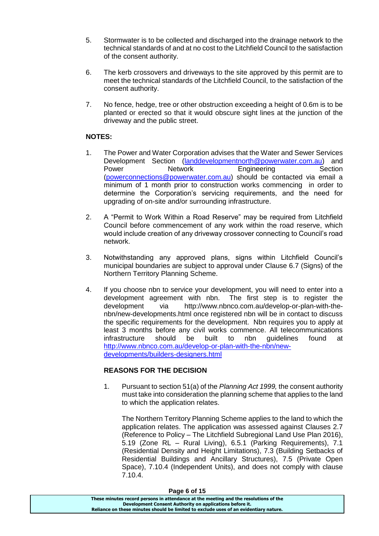- 5. Stormwater is to be collected and discharged into the drainage network to the technical standards of and at no cost to the Litchfield Council to the satisfaction of the consent authority.
- 6. The kerb crossovers and driveways to the site approved by this permit are to meet the technical standards of the Litchfield Council, to the satisfaction of the consent authority.
- 7. No fence, hedge, tree or other obstruction exceeding a height of 0.6m is to be planted or erected so that it would obscure sight lines at the junction of the driveway and the public street.

## **NOTES:**

- 1. The Power and Water Corporation advises that the Water and Sewer Services Development Section [\(landdevelopmentnorth@powerwater.com.au\)](mailto:landdevelopmentnorth@powerwater.com.au) and Power **Network** Engineering Section [\(powerconnections@powerwater.com.au\)](mailto:powerconnections@powerwater.com.au) should be contacted via email a minimum of 1 month prior to construction works commencing in order to determine the Corporation's servicing requirements, and the need for upgrading of on-site and/or surrounding infrastructure.
- 2. A "Permit to Work Within a Road Reserve" may be required from Litchfield Council before commencement of any work within the road reserve, which would include creation of any driveway crossover connecting to Council's road network.
- 3. Notwithstanding any approved plans, signs within Litchfield Council's municipal boundaries are subject to approval under Clause 6.7 (Signs) of the Northern Territory Planning Scheme.
- 4. If you choose nbn to service your development, you will need to enter into a development agreement with nbn. The first step is to register the development via [http://www.nbnco.com.au/develop-or-plan-with-the](http://www.nbnco.com.au/develop-or-plan-with-the-nbn/new-developments.html)[nbn/new-developments.html](http://www.nbnco.com.au/develop-or-plan-with-the-nbn/new-developments.html) once registered nbn will be in contact to discuss the specific requirements for the development. Nbn requires you to apply at least 3 months before any civil works commence. All telecommunications infrastructure should be built to nbn guidelines found at [http://www.nbnco.com.au/develop-or-plan-with-the-nbn/new](http://www.nbnco.com.au/develop-or-plan-with-the-nbn/new-developments/builders-designers.html)[developments/builders-designers.html](http://www.nbnco.com.au/develop-or-plan-with-the-nbn/new-developments/builders-designers.html)

## **REASONS FOR THE DECISION**

1. Pursuant to section 51(a) of the *Planning Act 1999,* the consent authority must take into consideration the planning scheme that applies to the land to which the application relates.

The Northern Territory Planning Scheme applies to the land to which the application relates. The application was assessed against Clauses 2.7 (Reference to Policy – The Litchfield Subregional Land Use Plan 2016), 5.19 (Zone RL – Rural Living), 6.5.1 (Parking Requirements), 7.1 (Residential Density and Height Limitations), 7.3 (Building Setbacks of Residential Buildings and Ancillary Structures), 7.5 (Private Open Space), 7.10.4 (Independent Units), and does not comply with clause 7.10.4.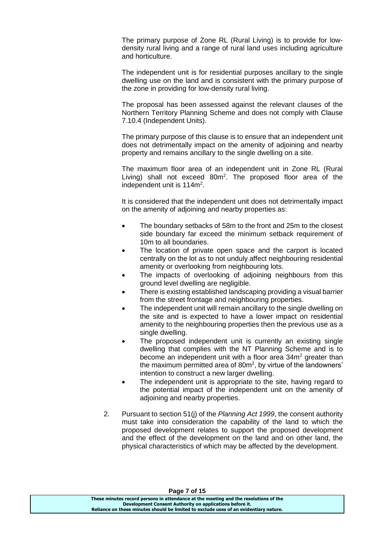The primary purpose of Zone RL (Rural Living) is to provide for lowdensity rural living and a range of rural land uses including agriculture and horticulture.

The independent unit is for residential purposes ancillary to the single dwelling use on the land and is consistent with the primary purpose of the zone in providing for low-density rural living.

The proposal has been assessed against the relevant clauses of the Northern Territory Planning Scheme and does not comply with Clause 7.10.4 (Independent Units).

The primary purpose of this clause is to ensure that an independent unit does not detrimentally impact on the amenity of adjoining and nearby property and remains ancillary to the single dwelling on a site.

The maximum floor area of an independent unit in Zone RL (Rural Living) shall not exceed 80m<sup>2</sup>. The proposed floor area of the independent unit is 114m<sup>2</sup>.

It is considered that the independent unit does not detrimentally impact on the amenity of adjoining and nearby properties as:

- The boundary setbacks of 58m to the front and 25m to the closest side boundary far exceed the minimum setback requirement of 10m to all boundaries.
- The location of private open space and the carport is located centrally on the lot as to not unduly affect neighbouring residential amenity or overlooking from neighbouring lots.
- The impacts of overlooking of adjoining neighbours from this ground level dwelling are negligible.
- There is existing established landscaping providing a visual barrier from the street frontage and neighbouring properties.
- The independent unit will remain ancillary to the single dwelling on the site and is expected to have a lower impact on residential amenity to the neighbouring properties then the previous use as a single dwelling.
- The proposed independent unit is currently an existing single dwelling that complies with the NT Planning Scheme and is to become an independent unit with a floor area 34m<sup>2</sup> greater than the maximum permitted area of 80m<sup>2</sup>, by virtue of the landowners' intention to construct a new larger dwelling.
- The independent unit is appropriate to the site, having regard to the potential impact of the independent unit on the amenity of adjoining and nearby properties.
- 2. Pursuant to section 51(j) of the *Planning Act 1999*, the consent authority must take into consideration the capability of the land to which the proposed development relates to support the proposed development and the effect of the development on the land and on other land, the physical characteristics of which may be affected by the development.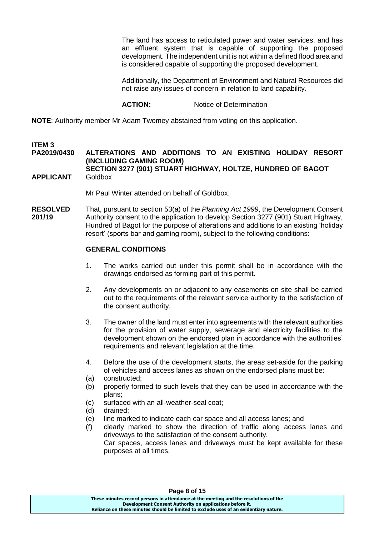The land has access to reticulated power and water services, and has an effluent system that is capable of supporting the proposed development. The independent unit is not within a defined flood area and is considered capable of supporting the proposed development.

Additionally, the Department of Environment and Natural Resources did not raise any issues of concern in relation to land capability.

### **ACTION:** Notice of Determination

**NOTE**: Authority member Mr Adam Twomey abstained from voting on this application.

# **ITEM 3**

## **PA2019/0430 ALTERATIONS AND ADDITIONS TO AN EXISTING HOLIDAY RESORT (INCLUDING GAMING ROOM)**

### **SECTION 3277 (901) STUART HIGHWAY, HOLTZE, HUNDRED OF BAGOT APPLICANT** Goldbox

Mr Paul Winter attended on behalf of Goldbox.

**RESOLVED** That, pursuant to section 53(a) of the *Planning Act 1999*, the Development Consent **201/19** Authority consent to the application to develop Section 3277 (901) Stuart Highway, Hundred of Bagot for the purpose of alterations and additions to an existing 'holiday resort' (sports bar and gaming room), subject to the following conditions:

### **GENERAL CONDITIONS**

- 1. The works carried out under this permit shall be in accordance with the drawings endorsed as forming part of this permit.
- 2. Any developments on or adjacent to any easements on site shall be carried out to the requirements of the relevant service authority to the satisfaction of the consent authority.
- 3. The owner of the land must enter into agreements with the relevant authorities for the provision of water supply, sewerage and electricity facilities to the development shown on the endorsed plan in accordance with the authorities' requirements and relevant legislation at the time.
- 4. Before the use of the development starts, the area*s* set-aside for the parking of vehicles and access lanes as shown on the endorsed plans must be:
- (a) constructed;
- (b) properly formed to such levels that they can be used in accordance with the plans;
- (c) surfaced with an all-weather-seal coat;
- (d) drained;
- (e) line marked to indicate each car space and all access lanes; and
- (f) clearly marked to show the direction of traffic along access lanes and driveways to the satisfaction of the consent authority. Car spaces, access lanes and driveways must be kept available for these purposes at all times.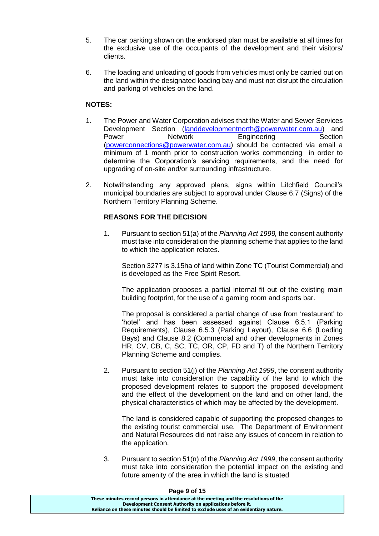- 5. The car parking shown on the endorsed plan must be available at all times for the exclusive use of the occupants of the development and their visitors/ clients.
- 6. The loading and unloading of goods from vehicles must only be carried out on the land within the designated loading bay and must not disrupt the circulation and parking of vehicles on the land.

### **NOTES:**

- 1. The Power and Water Corporation advises that the Water and Sewer Services Development Section [\(landdevelopmentnorth@powerwater.com.au\)](mailto:landdevelopmentnorth@powerwater.com.au) and Power Network Engineering Section [\(powerconnections@powerwater.com.au\)](mailto:powerconnections@powerwater.com.au) should be contacted via email a minimum of 1 month prior to construction works commencing in order to determine the Corporation's servicing requirements, and the need for upgrading of on-site and/or surrounding infrastructure.
- 2. Notwithstanding any approved plans, signs within Litchfield Council's municipal boundaries are subject to approval under Clause 6.7 (Signs) of the Northern Territory Planning Scheme.

### **REASONS FOR THE DECISION**

1. Pursuant to section 51(a) of the *Planning Act 1999,* the consent authority must take into consideration the planning scheme that applies to the land to which the application relates.

Section 3277 is 3.15ha of land within Zone TC (Tourist Commercial) and is developed as the Free Spirit Resort.

The application proposes a partial internal fit out of the existing main building footprint, for the use of a gaming room and sports bar.

The proposal is considered a partial change of use from 'restaurant' to 'hotel' and has been assessed against Clause 6.5.1 (Parking Requirements), Clause 6.5.3 (Parking Layout), Clause 6.6 (Loading Bays) and Clause 8.2 (Commercial and other developments in Zones HR, CV, CB, C, SC, TC, OR, CP, FD and T) of the Northern Territory Planning Scheme and complies.

2. Pursuant to section 51(j) of the *Planning Act 1999*, the consent authority must take into consideration the capability of the land to which the proposed development relates to support the proposed development and the effect of the development on the land and on other land, the physical characteristics of which may be affected by the development.

The land is considered capable of supporting the proposed changes to the existing tourist commercial use. The Department of Environment and Natural Resources did not raise any issues of concern in relation to the application.

3. Pursuant to section 51(n) of the *Planning Act 1999*, the consent authority must take into consideration the potential impact on the existing and future amenity of the area in which the land is situated

### **Page 9 of 15**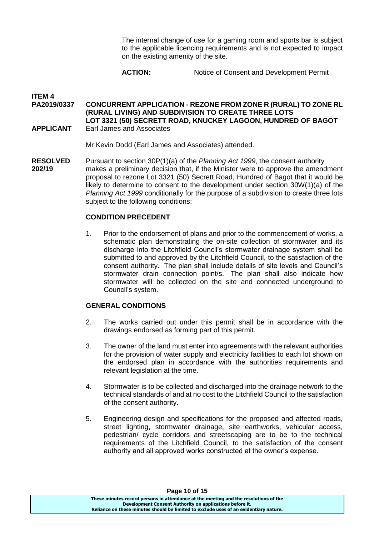The internal change of use for a gaming room and sports bar is subject to the applicable licencing requirements and is not expected to impact on the existing amenity of the site.

## **ACTION:** Notice of Consent and Development Permit

### **ITEM 4 PA2019/0337 CONCURRENT APPLICATION - REZONE FROM ZONE R (RURAL) TO ZONE RL (RURAL LIVING) AND SUBDIVISION TO CREATE THREE LOTS LOT 3321 (50) SECRETT ROAD, KNUCKEY LAGOON, HUNDRED OF BAGOT APPLICANT** Earl James and Associates

Mr Kevin Dodd (Earl James and Associates) attended.

**RESOLVED** Pursuant to section 30P(1)(a) of the *Planning Act 1999*, the consent authority **202/19** makes a preliminary decision that, if the Minister were to approve the amendment proposal to rezone Lot 3321 (50) Secrett Road, Hundred of Bagot that it would be likely to determine to consent to the development under section 30W(1)(a) of the *Planning Act 1999* conditionally for the purpose of a subdivision to create three lots subject to the following conditions:

### **CONDITION PRECEDENT**

1. Prior to the endorsement of plans and prior to the commencement of works, a schematic plan demonstrating the on-site collection of stormwater and its discharge into the Litchfield Council's stormwater drainage system shall be submitted to and approved by the Litchfield Council, to the satisfaction of the consent authority. The plan shall include details of site levels and Council's stormwater drain connection point/s. The plan shall also indicate how stormwater will be collected on the site and connected underground to Council's system.

### **GENERAL CONDITIONS**

- 2. The works carried out under this permit shall be in accordance with the drawings endorsed as forming part of this permit.
- 3. The owner of the land must enter into agreements with the relevant authorities for the provision of water supply and electricity facilities to each lot shown on the endorsed plan in accordance with the authorities requirements and relevant legislation at the time.
- 4. Stormwater is to be collected and discharged into the drainage network to the technical standards of and at no cost to the Litchfield Council to the satisfaction of the consent authority.
- 5. Engineering design and specifications for the proposed and affected roads, street lighting, stormwater drainage, site earthworks, vehicular access, pedestrian/ cycle corridors and streetscaping are to be to the technical requirements of the Litchfield Council, to the satisfaction of the consent authority and all approved works constructed at the owner's expense.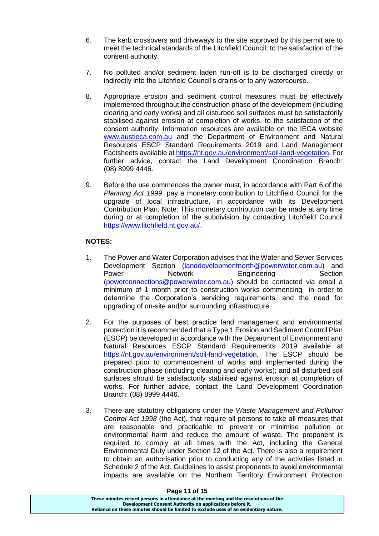- 6. The kerb crossovers and driveways to the site approved by this permit are to meet the technical standards of the Litchfield Council, to the satisfaction of the consent authority.
- 7. No polluted and/or sediment laden run-off is to be discharged directly or indirectly into the Litchfield Council's drains or to any watercourse.
- 8. Appropriate erosion and sediment control measures must be effectively implemented throughout the construction phase of the development (including clearing and early works) and all disturbed soil surfaces must be satisfactorily stabilised against erosion at completion of works, to the satisfaction of the consent authority. Information resources are available on the IECA website [www.austieca.com.au](http://www.austieca.com.au/) and the Department of Environment and Natural Resources ESCP Standard Requirements 2019 and Land Management Factsheets available a[t https://nt.gov.au/environment/soil-land-vegetation.](https://nt.gov.au/environment/soil-land-vegetation) For further advice, contact the Land Development Coordination Branch: (08) 8999 4446.
- 9. Before the use commences the owner must, in accordance with Part 6 of the *Planning Act 1999*, pay a monetary contribution to Litchfield Council for the upgrade of local infrastructure, in accordance with its Development Contribution Plan. Note: This monetary contribution can be made at any time during or at completion of the subdivision by contacting Litchfield Council [https://www.litchfield.nt.gov.au/.](https://www.litchfield.nt.gov.au/)

## **NOTES:**

- 1. The Power and Water Corporation advises that the Water and Sewer Services Development Section [\(landdevelopmentnorth@powerwater.com.au\)](mailto:landdevelopmentnorth@powerwater.com.au) and Power Network Engineering Section [\(powerconnections@powerwater.com.au\)](mailto:powerconnections@powerwater.com.au) should be contacted via email a minimum of 1 month prior to construction works commencing in order to determine the Corporation's servicing requirements, and the need for upgrading of on-site and/or surrounding infrastructure.
- 2. For the purposes of best practice land management and environmental protection it is recommended that a Type 1 Erosion and Sediment Control Plan (ESCP) be developed in accordance with the Department of Environment and Natural Resources ESCP Standard Requirements 2019 available at [https://nt.gov.au/environment/soil-land-vegetation.](https://nt.gov.au/environment/soil-land-vegetation) The ESCP should be prepared prior to commencement of works and implemented during the construction phase (including clearing and early works); and all disturbed soil surfaces should be satisfactorily stabilised against erosion at completion of works. For further advice, contact the Land Development Coordination Branch: (08) 8999 4446.
- 3. There are statutory obligations under the *Waste Management and Pollution Control Act 1998* (the Act), that require all persons to take all measures that are reasonable and practicable to prevent or minimise pollution or environmental harm and reduce the amount of waste. The proponent is required to comply at all times with the Act, including the General Environmental Duty under Section 12 of the Act. There is also a requirement to obtain an authorisation prior to conducting any of the activities listed in Schedule 2 of the Act. Guidelines to assist proponents to avoid environmental impacts are available on the Northern Territory Environment Protection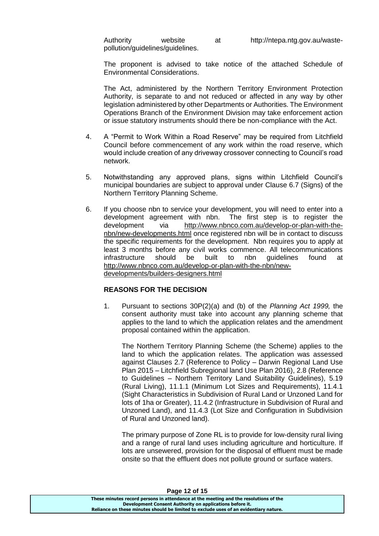Authority website at http://ntepa.ntg.gov.au/wastepollution/guidelines/guidelines.

The proponent is advised to take notice of the attached Schedule of Environmental Considerations.

The Act, administered by the Northern Territory Environment Protection Authority, is separate to and not reduced or affected in any way by other legislation administered by other Departments or Authorities. The Environment Operations Branch of the Environment Division may take enforcement action or issue statutory instruments should there be non-compliance with the Act.

- 4. A "Permit to Work Within a Road Reserve" may be required from Litchfield Council before commencement of any work within the road reserve, which would include creation of any driveway crossover connecting to Council's road network.
- 5. Notwithstanding any approved plans, signs within Litchfield Council's municipal boundaries are subject to approval under Clause 6.7 (Signs) of the Northern Territory Planning Scheme.
- 6. If you choose nbn to service your development, you will need to enter into a development agreement with nbn. The first step is to register the development via [http://www.nbnco.com.au/develop-or-plan-with-the](http://www.nbnco.com.au/develop-or-plan-with-the-nbn/new-developments.html)[nbn/new-developments.html](http://www.nbnco.com.au/develop-or-plan-with-the-nbn/new-developments.html) once registered nbn will be in contact to discuss the specific requirements for the development. Nbn requires you to apply at least 3 months before any civil works commence. All telecommunications infrastructure should be built to nbn guidelines found at [http://www.nbnco.com.au/develop-or-plan-with-the-nbn/new](http://www.nbnco.com.au/develop-or-plan-with-the-nbn/new-developments/builders-designers.html)[developments/builders-designers.html](http://www.nbnco.com.au/develop-or-plan-with-the-nbn/new-developments/builders-designers.html)

### **REASONS FOR THE DECISION**

1. Pursuant to sections 30P(2)(a) and (b) of the *Planning Act 1999,* the consent authority must take into account any planning scheme that applies to the land to which the application relates and the amendment proposal contained within the application.

The Northern Territory Planning Scheme (the Scheme) applies to the land to which the application relates. The application was assessed against Clauses 2.7 (Reference to Policy – Darwin Regional Land Use Plan 2015 – Litchfield Subregional land Use Plan 2016), 2.8 (Reference to Guidelines – Northern Territory Land Suitability Guidelines), 5.19 (Rural Living), 11.1.1 (Minimum Lot Sizes and Requirements), 11.4.1 (Sight Characteristics in Subdivision of Rural Land or Unzoned Land for lots of 1ha or Greater), 11.4.2 (Infrastructure in Subdivision of Rural and Unzoned Land), and 11.4.3 (Lot Size and Configuration in Subdivision of Rural and Unzoned land).

The primary purpose of Zone RL is to provide for low-density rural living and a range of rural land uses including agriculture and horticulture. If lots are unsewered, provision for the disposal of effluent must be made onsite so that the effluent does not pollute ground or surface waters.

**These minutes record persons in attendance at the meeting and the resolutions of the Development Consent Authority on applications before it. Reliance on these minutes should be limited to exclude uses of an evidentiary nature.**

#### **Page 12 of 15**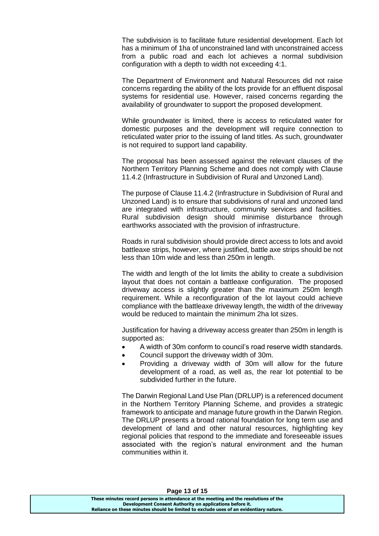The subdivision is to facilitate future residential development. Each lot has a minimum of 1ha of unconstrained land with unconstrained access from a public road and each lot achieves a normal subdivision configuration with a depth to width not exceeding 4:1.

The Department of Environment and Natural Resources did not raise concerns regarding the ability of the lots provide for an effluent disposal systems for residential use. However, raised concerns regarding the availability of groundwater to support the proposed development.

While groundwater is limited, there is access to reticulated water for domestic purposes and the development will require connection to reticulated water prior to the issuing of land titles. As such, groundwater is not required to support land capability.

The proposal has been assessed against the relevant clauses of the Northern Territory Planning Scheme and does not comply with Clause 11.4.2 (Infrastructure in Subdivision of Rural and Unzoned Land).

The purpose of Clause 11.4.2 (Infrastructure in Subdivision of Rural and Unzoned Land) is to ensure that subdivisions of rural and unzoned land are integrated with infrastructure, community services and facilities. Rural subdivision design should minimise disturbance through earthworks associated with the provision of infrastructure.

Roads in rural subdivision should provide direct access to lots and avoid battleaxe strips, however, where justified, battle axe strips should be not less than 10m wide and less than 250m in length.

The width and length of the lot limits the ability to create a subdivision layout that does not contain a battleaxe configuration. The proposed driveway access is slightly greater than the maximum 250m length requirement. While a reconfiguration of the lot layout could achieve compliance with the battleaxe driveway length, the width of the driveway would be reduced to maintain the minimum 2ha lot sizes.

Justification for having a driveway access greater than 250m in length is supported as:

- A width of 30m conform to council's road reserve width standards.
- Council support the driveway width of 30m.
- Providing a driveway width of 30m will allow for the future development of a road, as well as, the rear lot potential to be subdivided further in the future.

The Darwin Regional Land Use Plan (DRLUP) is a referenced document in the Northern Territory Planning Scheme, and provides a strategic framework to anticipate and manage future growth in the Darwin Region. The DRLUP presents a broad rational foundation for long term use and development of land and other natural resources, highlighting key regional policies that respond to the immediate and foreseeable issues associated with the region's natural environment and the human communities within it.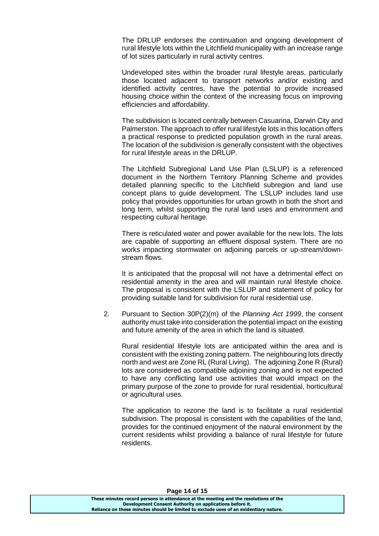The DRLUP endorses the continuation and ongoing development of rural lifestyle lots within the Litchfield municipality with an increase range of lot sizes particularly in rural activity centres.

Undeveloped sites within the broader rural lifestyle areas, particularly those located adjacent to transport networks and/or existing and identified activity centres, have the potential to provide increased housing choice within the context of the increasing focus on improving efficiencies and affordability.

The subdivision is located centrally between Casuarina, Darwin City and Palmerston. The approach to offer rural lifestyle lots in this location offers a practical response to predicted population growth in the rural areas. The location of the subdivision is generally consistent with the objectives for rural lifestyle areas in the DRLUP.

The Litchfield Subregional Land Use Plan (LSLUP) is a referenced document in the Northern Territory Planning Scheme and provides detailed planning specific to the Litchfield subregion and land use concept plans to guide development. The LSLUP includes land use policy that provides opportunities for urban growth in both the short and long term, whilst supporting the rural land uses and environment and respecting cultural heritage.

There is reticulated water and power available for the new lots. The lots are capable of supporting an effluent disposal system. There are no works impacting stormwater on adjoining parcels or up-stream/downstream flows.

It is anticipated that the proposal will not have a detrimental effect on residential amenity in the area and will maintain rural lifestyle choice. The proposal is consistent with the LSLUP and statement of policy for providing suitable land for subdivision for rural residential use.

2. Pursuant to Section 30P(2)(m) of the *Planning Act 1999*, the consent authority must take into consideration the potential impact on the existing and future amenity of the area in which the land is situated.

Rural residential lifestyle lots are anticipated within the area and is consistent with the existing zoning pattern. The neighbouring lots directly north and west are Zone RL (Rural Living). The adjoining Zone R (Rural) lots are considered as compatible adjoining zoning and is not expected to have any conflicting land use activities that would impact on the primary purpose of the zone to provide for rural residential, horticultural or agricultural uses.

The application to rezone the land is to facilitate a rural residential subdivision. The proposal is consistent with the capabilities of the land, provides for the continued enjoyment of the natural environment by the current residents whilst providing a balance of rural lifestyle for future residents.